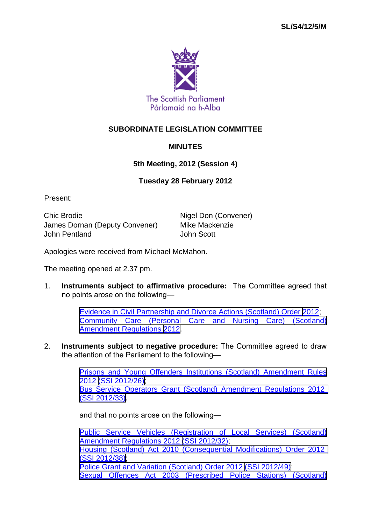

## **SUBORDINATE LEGISLATION COMMITTEE**

## **MINUTES**

## **5th Meeting, 2012 (Session 4)**

## **Tuesday 28 February 2012**

Present:

Chic Brodie **Nigel Don (Convener)** James Dornan (Deputy Convener) Mike Mackenzie John Pentland John Scott

Apologies were received from Michael McMahon.

The meeting opened at 2.37 pm.

1. **Instruments subject to affirmative procedure:** The Committee agreed that no points arose on the following—

> [Evidence in Civil Partnership and Divorce Actions \(Scotland\) Order 2012](http://www.legislation.gov.uk/sdsi/2012/9780111016206/contents); [Community Care \(Personal Care and Nursing Care\) \(Scotland\)](http://www.legislation.gov.uk/sdsi/2012/9780111016268/contents) [Amendment Regulations 2012.](http://www.legislation.gov.uk/sdsi/2012/9780111016268/contents)

2. **Instruments subject to negative procedure:** The Committee agreed to draw the attention of the Parliament to the following—

> [Prisons and Young Offenders Institutions \(Scotland\) Amendment Rules](http://www.legislation.gov.uk/ssi/2012/26/contents/made) [2012 \(SSI 2012/26\);](http://www.legislation.gov.uk/ssi/2012/26/contents/made) [Bus Service Operators Grant \(Scotland\) Amendment Regulations 2012](http://www.legislation.gov.uk/ssi/2012/33/contents/made)  [\(SSI 2012/33\).](http://www.legislation.gov.uk/ssi/2012/33/contents/made)

and that no points arose on the following—

[Public Service Vehicles \(Registration of Local Services\) \(Scotland\)](http://www.legislation.gov.uk/ssi/2012/32/contents/made) [Amendment Regulations 2012 \(SSI 2012/32\)](http://www.legislation.gov.uk/ssi/2012/32/contents/made); [Housing \(Scotland\) Act 2010 \(Consequential Modifications\) Order 2012](http://www.legislation.gov.uk/ssi/2012/38/contents/made)  [\(SSI 2012/38\);](http://www.legislation.gov.uk/ssi/2012/38/contents/made) [Police Grant and Variation \(Scotland\) Order 2012 \(SSI 2012/49\);](http://www.legislation.gov.uk/ssi/2012/49/contents/made) [Sexual Offences Act 2003 \(Prescribed Police Stations\) \(Scotland\)](http://www.legislation.gov.uk/ssi/2012/50/contents/made)